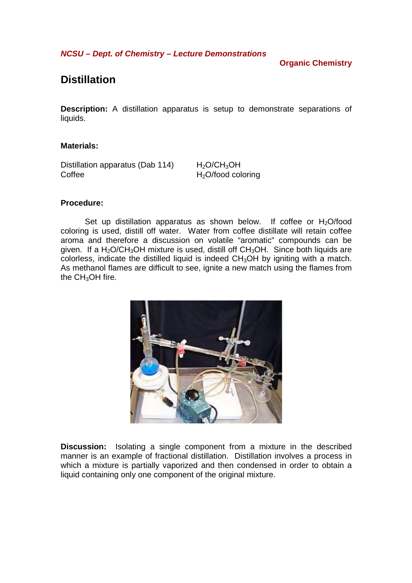**NCSU – Dept. of Chemistry – Lecture Demonstrations** 

## **Organic Chemistry**

# **Distillation**

**Description:** A distillation apparatus is setup to demonstrate separations of liquids.

#### **Materials:**

Distillation apparatus (Dab 114)  $H_2O/CH_3OH$ Coffee H<sub>2</sub>O/food coloring

#### **Procedure:**

Set up distillation apparatus as shown below. If coffee or  $H_2O$ /food coloring is used, distill off water. Water from coffee distillate will retain coffee aroma and therefore a discussion on volatile "aromatic" compounds can be given. If a  $H_2O/CH_3OH$  mixture is used, distill off  $CH_3OH$ . Since both liquids are colorless, indicate the distilled liquid is indeed  $CH<sub>3</sub>OH$  by igniting with a match. As methanol flames are difficult to see, ignite a new match using the flames from the  $CH<sub>3</sub>OH$  fire.



**Discussion:** Isolating a single component from a mixture in the described manner is an example of fractional distillation. Distillation involves a process in which a mixture is partially vaporized and then condensed in order to obtain a liquid containing only one component of the original mixture.